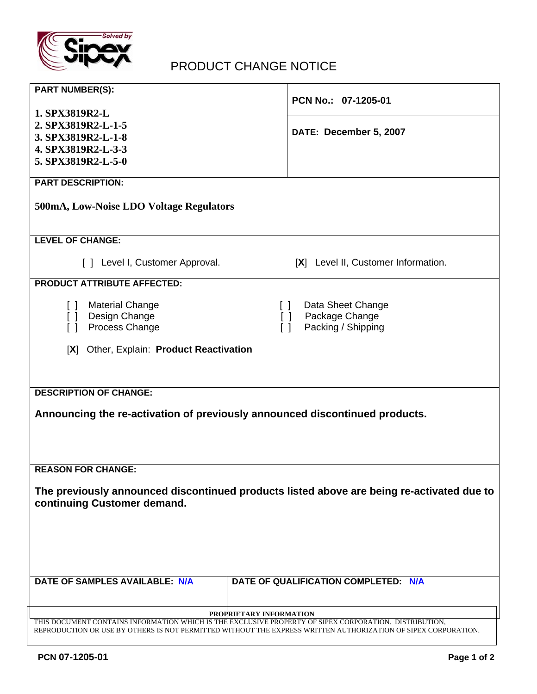

## PRODUCT CHANGE NOTICE

| <b>PART NUMBER(S):</b>                                                                                                                                                                                                   | PCN No.: 07-1205-01                  |  |  |
|--------------------------------------------------------------------------------------------------------------------------------------------------------------------------------------------------------------------------|--------------------------------------|--|--|
| 1. SPX3819R2-L<br>2. SPX3819R2-L-1-5                                                                                                                                                                                     |                                      |  |  |
| 3. SPX3819R2-L-1-8                                                                                                                                                                                                       | DATE: December 5, 2007               |  |  |
| 4. SPX3819R2-L-3-3                                                                                                                                                                                                       |                                      |  |  |
| 5. SPX3819R2-L-5-0                                                                                                                                                                                                       |                                      |  |  |
| <b>PART DESCRIPTION:</b>                                                                                                                                                                                                 |                                      |  |  |
| 500mA, Low-Noise LDO Voltage Regulators                                                                                                                                                                                  |                                      |  |  |
| <b>LEVEL OF CHANGE:</b>                                                                                                                                                                                                  |                                      |  |  |
| [ ] Level I, Customer Approval.                                                                                                                                                                                          | [X] Level II, Customer Information.  |  |  |
| <b>PRODUCT ATTRIBUTE AFFECTED:</b>                                                                                                                                                                                       |                                      |  |  |
| <b>Material Change</b><br>$\Box$                                                                                                                                                                                         | Data Sheet Change<br>$\Box$          |  |  |
| Design Change<br>$\Box$                                                                                                                                                                                                  | Package Change<br>$\Box$             |  |  |
| Process Change<br>$\Box$                                                                                                                                                                                                 | Packing / Shipping<br>$\Box$         |  |  |
| [X] Other, Explain: Product Reactivation                                                                                                                                                                                 |                                      |  |  |
|                                                                                                                                                                                                                          |                                      |  |  |
| <b>DESCRIPTION OF CHANGE:</b>                                                                                                                                                                                            |                                      |  |  |
|                                                                                                                                                                                                                          |                                      |  |  |
| Announcing the re-activation of previously announced discontinued products.                                                                                                                                              |                                      |  |  |
|                                                                                                                                                                                                                          |                                      |  |  |
|                                                                                                                                                                                                                          |                                      |  |  |
| <b>REASON FOR CHANGE:</b>                                                                                                                                                                                                |                                      |  |  |
| The previously announced discontinued products listed above are being re-activated due to                                                                                                                                |                                      |  |  |
| continuing Customer demand.                                                                                                                                                                                              |                                      |  |  |
|                                                                                                                                                                                                                          |                                      |  |  |
|                                                                                                                                                                                                                          |                                      |  |  |
|                                                                                                                                                                                                                          |                                      |  |  |
|                                                                                                                                                                                                                          |                                      |  |  |
| DATE OF SAMPLES AVAILABLE: N/A                                                                                                                                                                                           | DATE OF QUALIFICATION COMPLETED: N/A |  |  |
|                                                                                                                                                                                                                          |                                      |  |  |
| PROPRIETARY INFORMATION                                                                                                                                                                                                  |                                      |  |  |
| THIS DOCUMENT CONTAINS INFORMATION WHICH IS THE EXCLUSIVE PROPERTY OF SIPEX CORPORATION. DISTRIBUTION,<br>REPRODUCTION OR USE BY OTHERS IS NOT PERMITTED WITHOUT THE EXPRESS WRITTEN AUTHORIZATION OF SIPEX CORPORATION. |                                      |  |  |